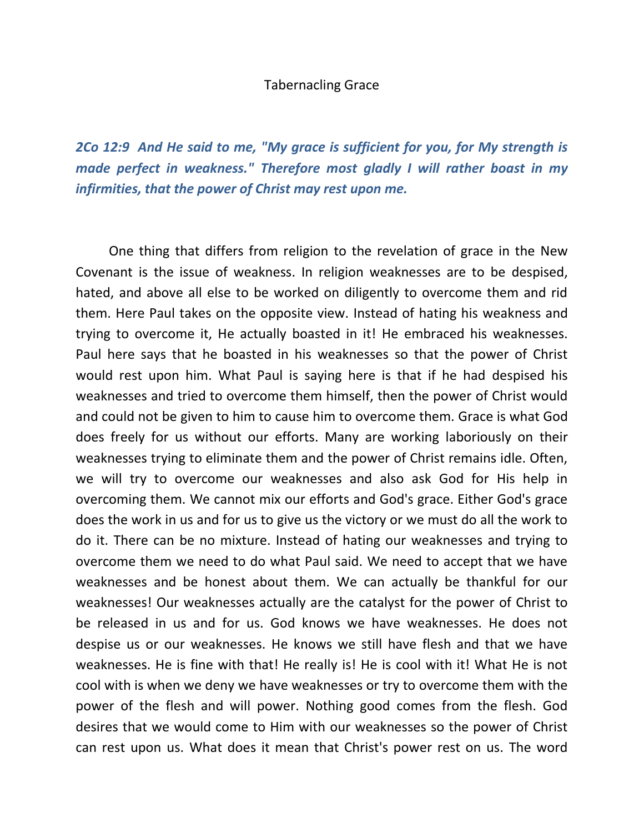## Tabernacling Grace

*2Co 12:9 And He said to me, "My grace is sufficient for you, for My strength is made perfect in weakness." Therefore most gladly I will rather boast in my infirmities, that the power of Christ may rest upon me.* 

 One thing that differs from religion to the revelation of grace in the New Covenant is the issue of weakness. In religion weaknesses are to be despised, hated, and above all else to be worked on diligently to overcome them and rid them. Here Paul takes on the opposite view. Instead of hating his weakness and trying to overcome it, He actually boasted in it! He embraced his weaknesses. Paul here says that he boasted in his weaknesses so that the power of Christ would rest upon him. What Paul is saying here is that if he had despised his weaknesses and tried to overcome them himself, then the power of Christ would and could not be given to him to cause him to overcome them. Grace is what God does freely for us without our efforts. Many are working laboriously on their weaknesses trying to eliminate them and the power of Christ remains idle. Often, we will try to overcome our weaknesses and also ask God for His help in overcoming them. We cannot mix our efforts and God's grace. Either God's grace does the work in us and for us to give us the victory or we must do all the work to do it. There can be no mixture. Instead of hating our weaknesses and trying to overcome them we need to do what Paul said. We need to accept that we have weaknesses and be honest about them. We can actually be thankful for our weaknesses! Our weaknesses actually are the catalyst for the power of Christ to be released in us and for us. God knows we have weaknesses. He does not despise us or our weaknesses. He knows we still have flesh and that we have weaknesses. He is fine with that! He really is! He is cool with it! What He is not cool with is when we deny we have weaknesses or try to overcome them with the power of the flesh and will power. Nothing good comes from the flesh. God desires that we would come to Him with our weaknesses so the power of Christ can rest upon us. What does it mean that Christ's power rest on us. The word